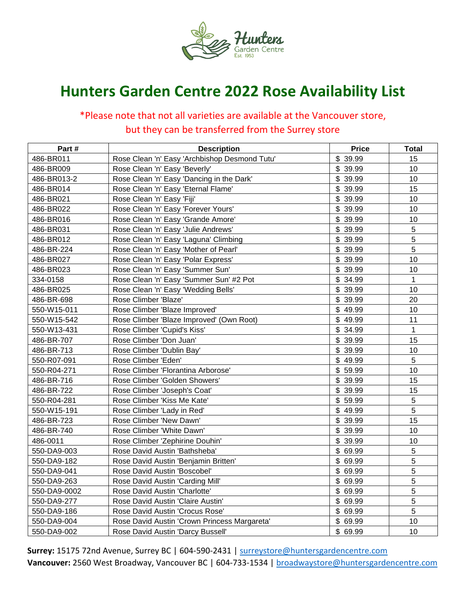

## **Hunters Garden Centre 2022 Rose Availability List**

## \*Please note that not all varieties are available at the Vancouver store, but they can be transferred from the Surrey store

| Part#        | <b>Description</b>                            | <b>Price</b> | <b>Total</b> |
|--------------|-----------------------------------------------|--------------|--------------|
| 486-BR011    | Rose Clean 'n' Easy 'Archbishop Desmond Tutu' | \$ 39.99     | 15           |
| 486-BR009    | Rose Clean 'n' Easy 'Beverly'                 | \$39.99      | 10           |
| 486-BR013-2  | Rose Clean 'n' Easy 'Dancing in the Dark'     | \$ 39.99     | 10           |
| 486-BR014    | Rose Clean 'n' Easy 'Eternal Flame'           | \$ 39.99     | 15           |
| 486-BR021    | Rose Clean 'n' Easy 'Fiji'                    | \$ 39.99     | 10           |
| 486-BR022    | Rose Clean 'n' Easy 'Forever Yours'           | \$39.99      | 10           |
| 486-BR016    | Rose Clean 'n' Easy 'Grande Amore'            | \$ 39.99     | 10           |
| 486-BR031    | Rose Clean 'n' Easy 'Julie Andrews'           | \$ 39.99     | 5            |
| 486-BR012    | Rose Clean 'n' Easy 'Laguna' Climbing         | 39.99<br>\$  | 5            |
| 486-BR-224   | Rose Clean 'n' Easy 'Mother of Pearl'         | \$ 39.99     | 5            |
| 486-BR027    | Rose Clean 'n' Easy 'Polar Express'           | \$39.99      | 10           |
| 486-BR023    | Rose Clean 'n' Easy 'Summer Sun'              | \$39.99      | 10           |
| 334-0158     | Rose Clean 'n' Easy 'Summer Sun' #2 Pot       | \$34.99      | $\mathbf{1}$ |
| 486-BR025    | Rose Clean 'n' Easy 'Wedding Bells'           | \$ 39.99     | 10           |
| 486-BR-698   | Rose Climber 'Blaze'                          | \$ 39.99     | 20           |
| 550-W15-011  | Rose Climber 'Blaze Improved'                 | \$49.99      | 10           |
| 550-W15-542  | Rose Climber 'Blaze Improved' (Own Root)      | \$49.99      | 11           |
| 550-W13-431  | Rose Climber 'Cupid's Kiss'                   | \$34.99      | $\mathbf{1}$ |
| 486-BR-707   | Rose Climber 'Don Juan'                       | \$ 39.99     | 15           |
| 486-BR-713   | Rose Climber 'Dublin Bay'                     | \$39.99      | 10           |
| 550-R07-091  | Rose Climber 'Eden'                           | \$49.99      | 5            |
| 550-R04-271  | Rose Climber 'Florantina Arborose'            | \$59.99      | 10           |
| 486-BR-716   | Rose Climber 'Golden Showers'                 | \$ 39.99     | 15           |
| 486-BR-722   | Rose Climber 'Joseph's Coat'                  | \$ 39.99     | 15           |
| 550-R04-281  | Rose Climber 'Kiss Me Kate'                   | \$59.99      | 5            |
| 550-W15-191  | Rose Climber 'Lady in Red'                    | \$49.99      | 5            |
| 486-BR-723   | Rose Climber 'New Dawn'                       | \$ 39.99     | 15           |
| 486-BR-740   | Rose Climber 'White Dawn'                     | \$ 39.99     | 10           |
| 486-0011     | Rose Climber 'Zephirine Douhin'               | \$ 39.99     | 10           |
| 550-DA9-003  | Rose David Austin 'Bathsheba'                 | \$69.99      | $\sqrt{5}$   |
| 550-DA9-182  | Rose David Austin 'Benjamin Britten'          | \$69.99      | 5            |
| 550-DA9-041  | Rose David Austin 'Boscobel'                  | \$69.99      | 5            |
| 550-DA9-263  | Rose David Austin 'Carding Mill'              | \$69.99      | 5            |
| 550-DA9-0002 | Rose David Austin 'Charlotte'                 | \$69.99      | 5            |
| 550-DA9-277  | Rose David Austin 'Claire Austin'             | \$69.99      | 5            |
| 550-DA9-186  | Rose David Austin 'Crocus Rose'               | \$69.99      | 5            |
| 550-DA9-004  | Rose David Austin 'Crown Princess Margareta'  | \$69.99      | 10           |
| 550-DA9-002  | Rose David Austin 'Darcy Bussell'             | \$69.99      | 10           |

**Surrey:** 15175 72nd Avenue, Surrey BC | 604-590-2431 | [surreystore@huntersgardencentre.com](mailto:surreystore@huntersgardencentre.com) Vancouver: 2560 West Broadway, Vancouver BC | 604-733-1534 | [broadwaystore@huntersgardencentre.com](mailto:broadwaystore@huntersgardencentre.com)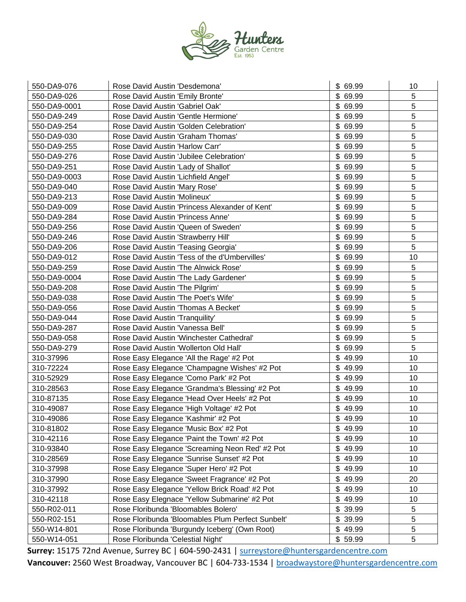

| 550-DA9-076  | Rose David Austin 'Desdemona'                     | \$ 69.99 | 10 |
|--------------|---------------------------------------------------|----------|----|
| 550-DA9-026  | Rose David Austin 'Emily Bronte'                  | \$69.99  | 5  |
| 550-DA9-0001 | Rose David Austin 'Gabriel Oak'                   | \$69.99  | 5  |
| 550-DA9-249  | Rose David Austin 'Gentle Hermione'               | \$69.99  | 5  |
| 550-DA9-254  | Rose David Austin 'Golden Celebration'            | \$69.99  | 5  |
| 550-DA9-030  | Rose David Austin 'Graham Thomas'                 | \$69.99  | 5  |
| 550-DA9-255  | Rose David Austin 'Harlow Carr'                   | \$69.99  | 5  |
| 550-DA9-276  | Rose David Austin 'Jubilee Celebration'           | \$69.99  | 5  |
| 550-DA9-251  | Rose David Austin 'Lady of Shallot'               | \$69.99  | 5  |
| 550-DA9-0003 | Rose David Austin 'Lichfield Angel'               | \$69.99  | 5  |
| 550-DA9-040  | Rose David Austin 'Mary Rose'                     | \$69.99  | 5  |
| 550-DA9-213  | Rose David Austin 'Molineux'                      | \$69.99  | 5  |
| 550-DA9-009  | Rose David Austin 'Princess Alexander of Kent'    | \$69.99  | 5  |
| 550-DA9-284  | Rose David Austin 'Princess Anne'                 | \$69.99  | 5  |
| 550-DA9-256  | Rose David Austin 'Queen of Sweden'               | \$69.99  | 5  |
| 550-DA9-246  | Rose David Austin 'Strawberry Hill'               | \$69.99  | 5  |
| 550-DA9-206  | Rose David Austin 'Teasing Georgia'               | \$69.99  | 5  |
| 550-DA9-012  | Rose David Austin 'Tess of the d'Umbervilles'     | \$69.99  | 10 |
| 550-DA9-259  | Rose David Austin 'The Alnwick Rose'              | \$69.99  | 5  |
| 550-DA9-0004 | Rose David Austin 'The Lady Gardener'             | \$69.99  | 5  |
| 550-DA9-208  | Rose David Austin 'The Pilgrim'                   | \$69.99  | 5  |
| 550-DA9-038  | Rose David Austin 'The Poet's Wife'               | \$69.99  | 5  |
| 550-DA9-056  | Rose David Austin 'Thomas A Becket'               | \$69.99  | 5  |
| 550-DA9-044  | Rose David Austin 'Tranquility'                   | \$69.99  | 5  |
| 550-DA9-287  | Rose David Austin 'Vanessa Bell'                  | \$69.99  | 5  |
| 550-DA9-058  | Rose David Austin 'Winchester Cathedral'          | \$69.99  | 5  |
| 550-DA9-279  | Rose David Austin 'Wollerton Old Hall'            | \$69.99  | 5  |
| 310-37996    | Rose Easy Elegance 'All the Rage' #2 Pot          | \$49.99  | 10 |
| 310-72224    | Rose Easy Elegance 'Champagne Wishes' #2 Pot      | \$49.99  | 10 |
| 310-52929    | Rose Easy Elegance 'Como Park' #2 Pot             | \$49.99  | 10 |
| 310-28563    | Rose Easy Elegance 'Grandma's Blessing' #2 Pot    | \$49.99  | 10 |
| 310-87135    | Rose Easy Elegance 'Head Over Heels' #2 Pot       | \$49.99  | 10 |
| 310-49087    | Rose Easy Elegance 'High Voltage' #2 Pot          | \$49.99  | 10 |
| 310-49086    | Rose Easy Elegance 'Kashmir' #2 Pot               | \$49.99  | 10 |
| 310-81802    | Rose Easy Elegance 'Music Box' #2 Pot             | \$49.99  | 10 |
| 310-42116    | Rose Easy Elegance 'Paint the Town' #2 Pot        | \$49.99  | 10 |
| 310-93840    | Rose Easy Elegance 'Screaming Neon Red' #2 Pot    | \$49.99  | 10 |
| 310-28569    | Rose Easy Elegance 'Sunrise Sunset' #2 Pot        | \$49.99  | 10 |
| 310-37998    | Rose Easy Elegance 'Super Hero' #2 Pot            | \$49.99  | 10 |
| 310-37990    | Rose Easy Elegance 'Sweet Fragrance' #2 Pot       | \$49.99  | 20 |
| 310-37992    | Rose Easy Elegance 'Yellow Brick Road' #2 Pot     | \$49.99  | 10 |
| 310-42118    | Rose Easy Elegnace 'Yellow Submarine' #2 Pot      | \$49.99  | 10 |
| 550-R02-011  | Rose Floribunda 'Bloomables Bolero'               | \$39.99  | 5  |
| 550-R02-151  | Rose Floribunda 'Bloomables Plum Perfect Sunbelt' | \$39.99  | 5  |
| 550-W14-801  | Rose Floribunda 'Burgundy Iceberg' (Own Root)     | \$49.99  | 5  |
| 550-W14-051  | Rose Floribunda 'Celestial Night'                 | \$59.99  | 5  |

Surrey: 15175 72nd Avenue, Surrey BC | 604-590-2431 | [surreystore@huntersgardencentre.com](mailto:surreystore@huntersgardencentre.com) Vancouver: 2560 West Broadway, Vancouver BC | 604-733-1534 | **broadwaystore@huntersgardencentre.com**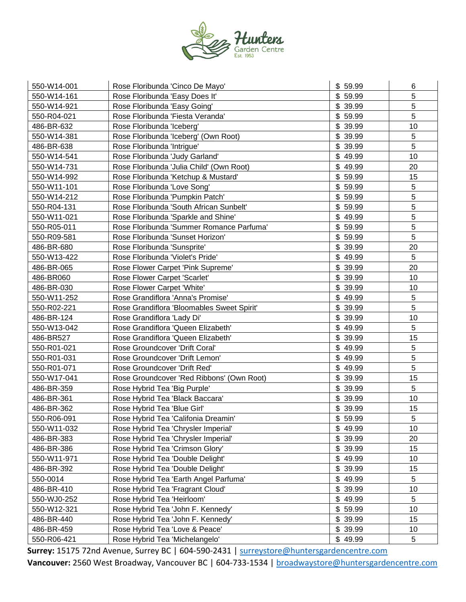

| 550-W14-001 | Rose Floribunda 'Cinco De Mayo'            | \$59.99     | 6  |
|-------------|--------------------------------------------|-------------|----|
| 550-W14-161 | Rose Floribunda 'Easy Does It'             | \$59.99     | 5  |
| 550-W14-921 | Rose Floribunda 'Easy Going'               | \$ 39.99    | 5  |
| 550-R04-021 | Rose Floribunda 'Fiesta Veranda'           | \$59.99     | 5  |
| 486-BR-632  | Rose Floribunda 'Iceberg'                  | \$39.99     | 10 |
| 550-W14-381 | Rose Floribunda 'Iceberg' (Own Root)       | \$39.99     | 5  |
| 486-BR-638  | Rose Floribunda 'Intrigue'                 | \$39.99     | 5  |
| 550-W14-541 | Rose Floribunda 'Judy Garland'             | \$49.99     | 10 |
| 550-W14-731 | Rose Floribunda 'Julia Child' (Own Root)   | \$49.99     | 20 |
| 550-W14-992 | Rose Floribunda 'Ketchup & Mustard'        | \$59.99     | 15 |
| 550-W11-101 | Rose Floribunda 'Love Song'                | \$59.99     | 5  |
| 550-W14-212 | Rose Floribunda 'Pumpkin Patch'            | \$59.99     | 5  |
| 550-R04-131 | Rose Floribunda 'South African Sunbelt'    | \$59.99     | 5  |
| 550-W11-021 | Rose Floribunda 'Sparkle and Shine'        | \$49.99     | 5  |
| 550-R05-011 | Rose Floribunda 'Summer Romance Parfuma'   | \$59.99     | 5  |
| 550-R09-581 | Rose Floribunda 'Sunset Horizon'           | \$59.99     | 5  |
| 486-BR-680  | Rose Floribunda 'Sunsprite'                | \$39.99     | 20 |
| 550-W13-422 | Rose Floribunda 'Violet's Pride'           | \$49.99     | 5  |
| 486-BR-065  | Rose Flower Carpet 'Pink Supreme'          | \$39.99     | 20 |
| 486-BR060   | Rose Flower Carpet 'Scarlet'               | \$39.99     | 10 |
| 486-BR-030  | Rose Flower Carpet 'White'                 | \$39.99     | 10 |
| 550-W11-252 | Rose Grandiflora 'Anna's Promise'          | \$49.99     | 5  |
| 550-R02-221 | Rose Grandiflora 'Bloomables Sweet Spirit' | \$ 39.99    | 5  |
| 486-BR-124  | Rose Grandiflora 'Lady Di'                 | \$<br>39.99 | 10 |
| 550-W13-042 | Rose Grandiflora 'Queen Elizabeth'         | \$49.99     | 5  |
| 486-BR527   | Rose Grandiflora 'Queen Elizabeth'         | \$39.99     | 15 |
| 550-R01-021 | Rose Groundcover 'Drift Coral'             | \$49.99     | 5  |
| 550-R01-031 | Rose Groundcover 'Drift Lemon'             | \$49.99     | 5  |
| 550-R01-071 | Rose Groundcover 'Drift Red'               | \$49.99     | 5  |
| 550-W17-041 | Rose Groundcover 'Red Ribbons' (Own Root)  | \$39.99     | 15 |
| 486-BR-359  | Rose Hybrid Tea 'Big Purple'               | \$ 39.99    | 5  |
| 486-BR-361  | Rose Hybrid Tea 'Black Baccara'            | \$39.99     | 10 |
| 486-BR-362  | Rose Hybrid Tea 'Blue Girl'                | \$39.99     | 15 |
| 550-R06-091 | Rose Hybrid Tea 'Califonia Dreamin'        | \$59.99     | 5  |
| 550-W11-032 | Rose Hybrid Tea 'Chrysler Imperial'        | \$49.99     | 10 |
| 486-BR-383  | Rose Hybrid Tea 'Chrysler Imperial'        | \$39.99     | 20 |
| 486-BR-386  | Rose Hybrid Tea 'Crimson Glory'            | \$ 39.99    | 15 |
| 550-W11-971 | Rose Hybrid Tea 'Double Delight'           | \$49.99     | 10 |
| 486-BR-392  | Rose Hybrid Tea 'Double Delight'           | 39.99<br>\$ | 15 |
| 550-0014    | Rose Hybrid Tea 'Earth Angel Parfuma'      | \$49.99     | 5  |
| 486-BR-410  | Rose Hybrid Tea 'Fragrant Cloud'           | \$39.99     | 10 |
| 550-WJ0-252 | Rose Hybrid Tea 'Heirloom'                 | \$49.99     | 5  |
| 550-W12-321 | Rose Hybrid Tea 'John F. Kennedy'          | \$59.99     | 10 |
| 486-BR-440  | Rose Hybrid Tea 'John F. Kennedy'          | \$39.99     | 15 |
| 486-BR-459  | Rose Hybrid Tea 'Love & Peace'             | \$39.99     | 10 |
| 550-R06-421 | Rose Hybrid Tea 'Michelangelo'             | \$49.99     | 5  |

Surrey: 15175 72nd Avenue, Surrey BC | 604-590-2431 | [surreystore@huntersgardencentre.com](mailto:surreystore@huntersgardencentre.com) Vancouver: 2560 West Broadway, Vancouver BC | 604-733-1534 | **broadwaystore@huntersgardencentre.com**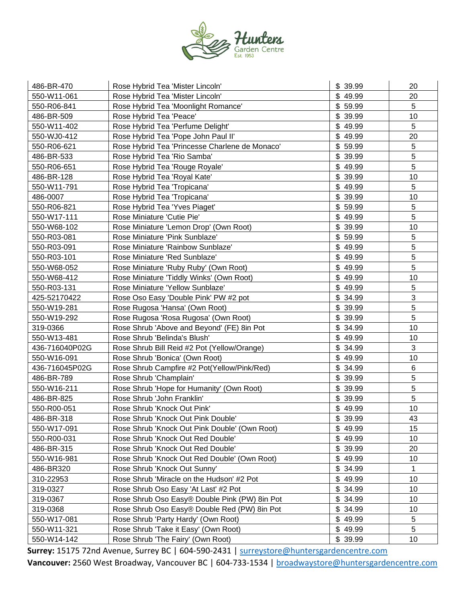

| 486-BR-470     | Rose Hybrid Tea 'Mister Lincoln'               | \$ 39.99 | 20             |
|----------------|------------------------------------------------|----------|----------------|
| 550-W11-061    | Rose Hybrid Tea 'Mister Lincoln'               | \$49.99  | 20             |
| 550-R06-841    | Rose Hybrid Tea 'Moonlight Romance'            | \$59.99  | 5              |
| 486-BR-509     | Rose Hybrid Tea 'Peace'                        | \$ 39.99 | 10             |
| 550-W11-402    | Rose Hybrid Tea 'Perfume Delight'              | \$49.99  | 5              |
| 550-WJ0-412    | Rose Hybrid Tea 'Pope John Paul II'            | \$49.99  | 20             |
| 550-R06-621    | Rose Hybrid Tea 'Princesse Charlene de Monaco' | \$59.99  | 5              |
| 486-BR-533     | Rose Hybrid Tea 'Rio Samba'                    | \$39.99  | $\sqrt{5}$     |
| 550-R06-651    | Rose Hybrid Tea 'Rouge Royale'                 | \$49.99  | 5              |
| 486-BR-128     | Rose Hybrid Tea 'Royal Kate'                   | \$ 39.99 | 10             |
| 550-W11-791    | Rose Hybrid Tea 'Tropicana'                    | \$49.99  | 5              |
| 486-0007       | Rose Hybrid Tea 'Tropicana'                    | \$39.99  | 10             |
| 550-R06-821    | Rose Hybrid Tea 'Yves Piaget'                  | \$59.99  | $\sqrt{5}$     |
| 550-W17-111    | Rose Miniature 'Cutie Pie'                     | \$49.99  | 5              |
| 550-W68-102    | Rose Miniature 'Lemon Drop' (Own Root)         | \$39.99  | 10             |
| 550-R03-081    | Rose Miniature 'Pink Sunblaze'                 | \$59.99  | 5              |
| 550-R03-091    | Rose Miniature 'Rainbow Sunblaze'              | \$49.99  | 5              |
| 550-R03-101    | Rose Miniature 'Red Sunblaze'                  | \$49.99  | 5              |
| 550-W68-052    | Rose Miniature 'Ruby Ruby' (Own Root)          | \$49.99  | $\overline{5}$ |
| 550-W68-412    | Rose Miniature 'Tiddly Winks' (Own Root)       | \$49.99  | 10             |
| 550-R03-131    | Rose Miniature 'Yellow Sunblaze'               | \$49.99  | 5              |
| 425-52170422   | Rose Oso Easy 'Double Pink' PW #2 pot          | \$34.99  | 3              |
| 550-W19-281    | Rose Rugosa 'Hansa' (Own Root)                 | \$39.99  | 5              |
| 550-W19-292    | Rose Rugosa 'Rosa Rugosa' (Own Root)           | \$39.99  | $\overline{5}$ |
| 319-0366       | Rose Shrub 'Above and Beyond' (FE) 8in Pot     | \$34.99  | 10             |
| 550-W13-481    | Rose Shrub 'Belinda's Blush'                   | \$49.99  | 10             |
| 436-716040P02G | Rose Shrub Bill Reid #2 Pot (Yellow/Orange)    | \$34.99  | 3              |
| 550-W16-091    | Rose Shrub 'Bonica' (Own Root)                 | \$49.99  | 10             |
| 436-716045P02G | Rose Shrub Campfire #2 Pot(Yellow/Pink/Red)    | \$34.99  | 6              |
| 486-BR-789     | Rose Shrub 'Champlain'                         | \$39.99  | 5              |
| 550-W16-211    | Rose Shrub 'Hope for Humanity' (Own Root)      | \$ 39.99 | 5              |
| 486-BR-825     | Rose Shrub 'John Franklin'                     | \$39.99  | $\sqrt{5}$     |
| 550-R00-051    | Rose Shrub 'Knock Out Pink'                    | \$49.99  | 10             |
| 486-BR-318     | Rose Shrub 'Knock Out Pink Double'             | \$ 39.99 | 43             |
| 550-W17-091    | Rose Shrub 'Knock Out Pink Double' (Own Root)  | \$49.99  | 15             |
| 550-R00-031    | Rose Shrub 'Knock Out Red Double'              | \$49.99  | 10             |
| 486-BR-315     | Rose Shrub 'Knock Out Red Double'              | \$39.99  | 20             |
| 550-W16-981    | Rose Shrub 'Knock Out Red Double' (Own Root)   | \$49.99  | 10             |
| 486-BR320      | Rose Shrub 'Knock Out Sunny'                   | \$34.99  | 1              |
| 310-22953      | Rose Shrub 'Miracle on the Hudson' #2 Pot      | \$49.99  | 10             |
| 319-0327       | Rose Shrub Oso Easy 'At Last' #2 Pot           | \$34.99  | 10             |
| 319-0367       | Rose Shrub Oso Easy® Double Pink (PW) 8in Pot  | \$34.99  | 10             |
| 319-0368       | Rose Shrub Oso Easy® Double Red (PW) 8in Pot   | \$34.99  | 10             |
| 550-W17-081    | Rose Shrub 'Party Hardy' (Own Root)            | \$49.99  | $\,$ 5 $\,$    |
| 550-W11-321    | Rose Shrub 'Take it Easy' (Own Root)           | \$49.99  | 5              |
| 550-W14-142    | Rose Shrub 'The Fairy' (Own Root)              | \$39.99  | 10             |

Surrey: 15175 72nd Avenue, Surrey BC | 604-590-2431 | [surreystore@huntersgardencentre.com](mailto:surreystore@huntersgardencentre.com) Vancouver: 2560 West Broadway, Vancouver BC | 604-733-1534 | **broadwaystore@huntersgardencentre.com**